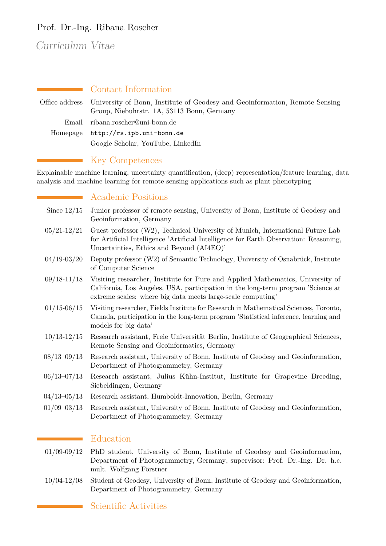## Prof. Dr.-Ing. Ribana Roscher

# Curriculum Vitae

|                | • Contact Information                                                                                                     |
|----------------|---------------------------------------------------------------------------------------------------------------------------|
| Office address | University of Bonn, Institute of Geodesy and Geoinformation, Remote Sensing<br>Group, Niebuhrstr. 1A, 53113 Bonn, Germany |
| Email          | ribana.roscher@uni-bonn.de                                                                                                |
| Homepage       | http://rs.ipb.uni-bonn.de                                                                                                 |
|                | Google Scholar, YouTube, LinkedIn                                                                                         |

## Key Competences

Explainable machine learning, uncertainty quantification, (deep) representation/feature learning, data analysis and machine learning for remote sensing applications such as plant phenotyping

## Academic Positions

- Since 12/15 Junior professor of remote sensing, University of Bonn, Institute of Geodesy and Geoinformation, Germany
- 05/21-12/21 Guest professor (W2), Technical University of Munich, International Future Lab for Artificial Intelligence 'Artificial Intelligence for Earth Observation: Reasoning, Uncertainties, Ethics and Beyond (AI4EO)'
- 04/19-03/20 Deputy professor (W2) of Semantic Technology, University of Osnabrück, Institute of Computer Science
- 09/18-11/18 Visiting researcher, Institute for Pure and Applied Mathematics, University of California, Los Angeles, USA, participation in the long-term program 'Science at extreme scales: where big data meets large-scale computing'
- 01/15-06/15 Visiting researcher, Fields Institute for Research in Mathematical Sciences, Toronto, Canada, participation in the long-term program 'Statistical inference, learning and models for big data'
- 10/13-12/15 Research assistant, Freie Universität Berlin, Institute of Geographical Sciences, Remote Sensing and Geoinformatics, Germany
- 08/13–09/13 Research assistant, University of Bonn, Institute of Geodesy and Geoinformation, Department of Photogrammetry, Germany
- 06/13–07/13 Research assistant, Julius Kühn-Institut, Institute for Grapevine Breeding, Siebeldingen, Germany
- 04/13–05/13 Research assistant, Humboldt-Innovation, Berlin, Germany
- 01/09–03/13 Research assistant, University of Bonn, Institute of Geodesy and Geoinformation, Department of Photogrammetry, Germany

#### Education

- 01/09-09/12 PhD student, University of Bonn, Institute of Geodesy and Geoinformation, Department of Photogrammetry, Germany, supervisor: Prof. Dr.-Ing. Dr. h.c. mult. Wolfgang Förstner
- 10/04-12/08 Student of Geodesy, University of Bonn, Institute of Geodesy and Geoinformation, Department of Photogrammetry, Germany

## Scientific Activities